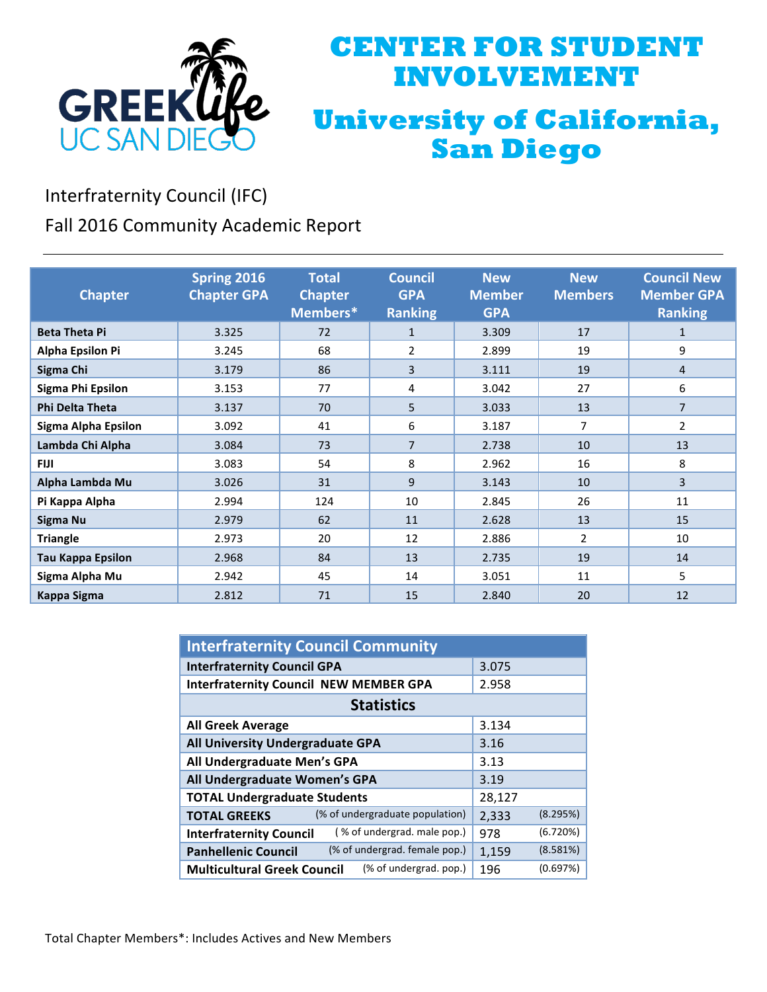

## **CENTER FOR STUDENT INVOLVEMENT University of California, San Diego**

Interfraternity Council (IFC)

Fall 2016 Community Academic Report

| <b>Chapter</b>           | Spring 2016<br><b>Chapter GPA</b> | <b>Total</b><br><b>Chapter</b><br>Members* | <b>Council</b><br><b>GPA</b><br><b>Ranking</b> | <b>New</b><br><b>Member</b><br><b>GPA</b> | <b>New</b><br><b>Members</b> | <b>Council New</b><br><b>Member GPA</b><br><b>Ranking</b> |
|--------------------------|-----------------------------------|--------------------------------------------|------------------------------------------------|-------------------------------------------|------------------------------|-----------------------------------------------------------|
| <b>Beta Theta Pi</b>     | 3.325                             | 72                                         | $\mathbf{1}$                                   | 3.309                                     | 17                           | 1                                                         |
| <b>Alpha Epsilon Pi</b>  | 3.245                             | 68                                         | 2                                              | 2.899                                     | 19                           | 9                                                         |
| Sigma Chi                | 3.179                             | 86                                         | 3                                              | 3.111                                     | 19                           | 4                                                         |
| Sigma Phi Epsilon        | 3.153                             | 77                                         | 4                                              | 3.042                                     | 27                           | 6                                                         |
| <b>Phi Delta Theta</b>   | 3.137                             | 70                                         | 5                                              | 3.033                                     | 13                           | 7                                                         |
| Sigma Alpha Epsilon      | 3.092                             | 41                                         | 6                                              | 3.187                                     | $\overline{7}$               | 2                                                         |
| Lambda Chi Alpha         | 3.084                             | 73                                         | $\overline{7}$                                 | 2.738                                     | 10                           | 13                                                        |
| <b>FIJI</b>              | 3.083                             | 54                                         | 8                                              | 2.962                                     | 16                           | 8                                                         |
| Alpha Lambda Mu          | 3.026                             | 31                                         | 9                                              | 3.143                                     | 10                           | 3                                                         |
| Pi Kappa Alpha           | 2.994                             | 124                                        | 10                                             | 2.845                                     | 26                           | 11                                                        |
| Sigma Nu                 | 2.979                             | 62                                         | 11                                             | 2.628                                     | 13                           | 15                                                        |
| <b>Triangle</b>          | 2.973                             | 20                                         | 12                                             | 2.886                                     | 2                            | 10                                                        |
| <b>Tau Kappa Epsilon</b> | 2.968                             | 84                                         | 13                                             | 2.735                                     | 19                           | 14                                                        |
| Sigma Alpha Mu           | 2.942                             | 45                                         | 14                                             | 3.051                                     | 11                           | 5                                                         |
| <b>Kappa Sigma</b>       | 2.812                             | 71                                         | 15                                             | 2.840                                     | 20                           | 12                                                        |

| <b>Interfraternity Council Community</b>                      |                   |  |  |  |  |
|---------------------------------------------------------------|-------------------|--|--|--|--|
| <b>Interfraternity Council GPA</b>                            | 3.075             |  |  |  |  |
| <b>Interfraternity Council NEW MEMBER GPA</b>                 | 2.958             |  |  |  |  |
| <b>Statistics</b>                                             |                   |  |  |  |  |
| <b>All Greek Average</b>                                      | 3.134             |  |  |  |  |
| All University Undergraduate GPA                              | 3.16              |  |  |  |  |
| All Undergraduate Men's GPA                                   | 3.13              |  |  |  |  |
| All Undergraduate Women's GPA                                 | 3.19              |  |  |  |  |
| <b>TOTAL Undergraduate Students</b>                           | 28,127            |  |  |  |  |
| (% of undergraduate population)<br><b>TOTAL GREEKS</b>        | (8.295%)<br>2,333 |  |  |  |  |
| (% of undergrad. male pop.)<br><b>Interfraternity Council</b> | (6.720%)<br>978   |  |  |  |  |
| (% of undergrad. female pop.)<br><b>Panhellenic Council</b>   | (8.581%)<br>1,159 |  |  |  |  |
| (% of undergrad. pop.)<br><b>Multicultural Greek Council</b>  | (0.697%)<br>196   |  |  |  |  |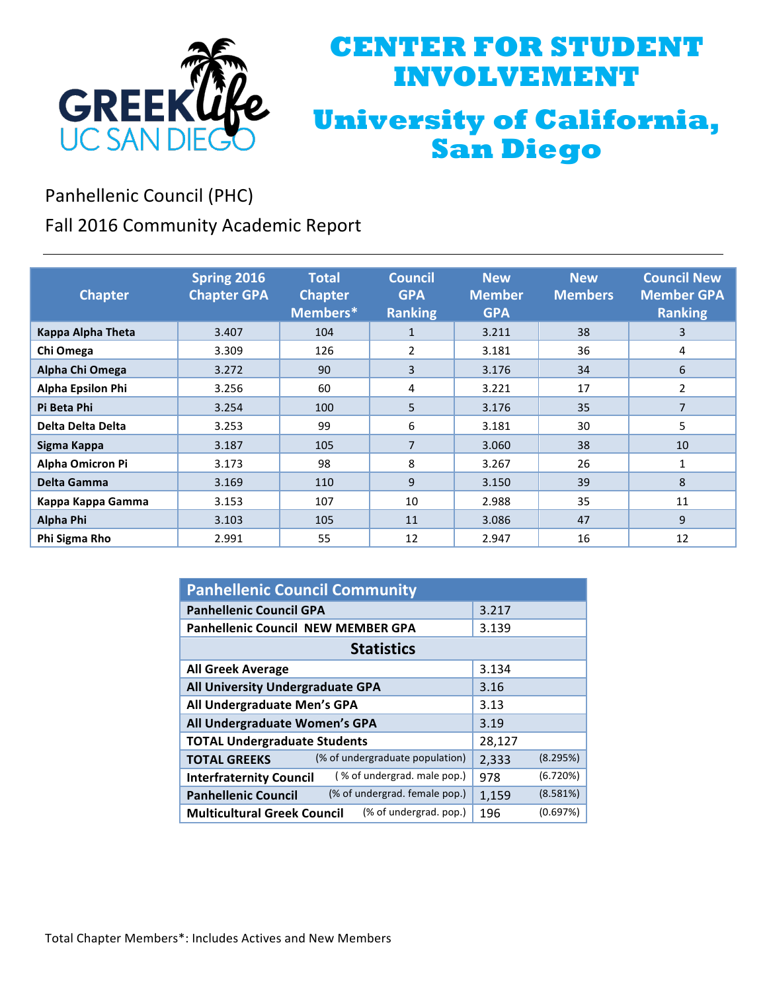

## **CENTER FOR STUDENT INVOLVEMENT University of California, San Diego**

Panhellenic Council (PHC)

Fall 2016 Community Academic Report

| <b>Chapter</b>           | Spring 2016<br><b>Chapter GPA</b> | <b>Total</b><br><b>Chapter</b><br>Members* | <b>Council</b><br><b>GPA</b><br><b>Ranking</b> | <b>New</b><br><b>Member</b><br><b>GPA</b> | <b>New</b><br><b>Members</b> | <b>Council New</b><br><b>Member GPA</b><br><b>Ranking</b> |
|--------------------------|-----------------------------------|--------------------------------------------|------------------------------------------------|-------------------------------------------|------------------------------|-----------------------------------------------------------|
| Kappa Alpha Theta        | 3.407                             | 104                                        | $\mathbf{1}$                                   | 3.211                                     | 38                           | 3                                                         |
| Chi Omega                | 3.309                             | 126                                        | 2                                              | 3.181                                     | 36                           | 4                                                         |
| Alpha Chi Omega          | 3.272                             | 90                                         | 3                                              | 3.176                                     | 34                           | 6                                                         |
| <b>Alpha Epsilon Phi</b> | 3.256                             | 60                                         | 4                                              | 3.221                                     | 17                           | 2                                                         |
| Pi Beta Phi              | 3.254                             | 100                                        | 5                                              | 3.176                                     | 35                           | 7                                                         |
| <b>Delta Delta Delta</b> | 3.253                             | 99                                         | 6                                              | 3.181                                     | 30                           | 5                                                         |
| Sigma Kappa              | 3.187                             | 105                                        | $\overline{7}$                                 | 3.060                                     | 38                           | 10                                                        |
| Alpha Omicron Pi         | 3.173                             | 98                                         | 8                                              | 3.267                                     | 26                           | 1                                                         |
| Delta Gamma              | 3.169                             | 110                                        | 9                                              | 3.150                                     | 39                           | 8                                                         |
| Kappa Kappa Gamma        | 3.153                             | 107                                        | 10                                             | 2.988                                     | 35                           | 11                                                        |
| Alpha Phi                | 3.103                             | 105                                        | 11                                             | 3.086                                     | 47                           | 9                                                         |
| Phi Sigma Rho            | 2.991                             | 55                                         | 12                                             | 2.947                                     | 16                           | 12                                                        |

| <b>Panhellenic Council Community</b>                          |        |          |  |  |  |
|---------------------------------------------------------------|--------|----------|--|--|--|
| <b>Panhellenic Council GPA</b>                                | 3.217  |          |  |  |  |
| <b>Panhellenic Council NEW MEMBER GPA</b>                     | 3.139  |          |  |  |  |
| <b>Statistics</b>                                             |        |          |  |  |  |
| <b>All Greek Average</b>                                      | 3.134  |          |  |  |  |
| All University Undergraduate GPA                              | 3.16   |          |  |  |  |
| All Undergraduate Men's GPA                                   | 3.13   |          |  |  |  |
| All Undergraduate Women's GPA                                 | 3.19   |          |  |  |  |
| <b>TOTAL Undergraduate Students</b>                           | 28,127 |          |  |  |  |
| (% of undergraduate population)<br><b>TOTAL GREEKS</b>        | 2,333  | (8.295%) |  |  |  |
| (% of undergrad. male pop.)<br><b>Interfraternity Council</b> | 978    | (6.720%) |  |  |  |
| (% of undergrad. female pop.)<br><b>Panhellenic Council</b>   | 1,159  | (8.581%) |  |  |  |
| (% of undergrad. pop.)<br><b>Multicultural Greek Council</b>  | 196    | (0.697%) |  |  |  |